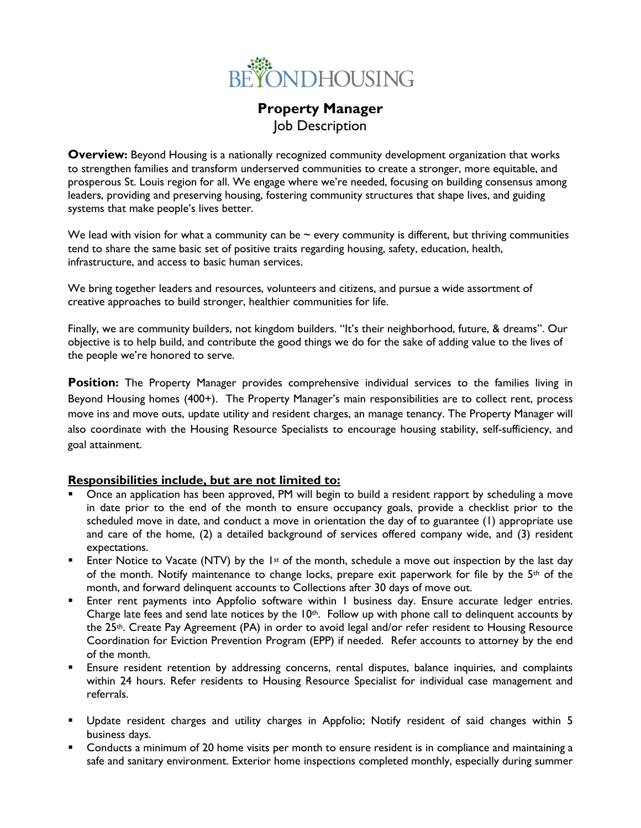

# **Property Manager** Job Description

**Overview:** Beyond Housing is a nationally recognized community development organization that works to strengthen families and transform underserved communities to create a stronger, more equitable, and prosperous St. Louis region for all. We engage where we're needed, focusing on building consensus among leaders, providing and preserving housing, fostering community structures that shape lives, and guiding systems that make people's lives better.

We lead with vision for what a community can be  $\sim$  every community is different, but thriving communities tend to share the same basic set of positive traits regarding housing, safety, education, health, infrastructure, and access to basic human services.

We bring together leaders and resources, volunteers and citizens, and pursue a wide assortment of creative approaches to build stronger, healthier communities for life.

Finally, we are community builders, not kingdom builders. "It's their neighborhood, future, & dreams". Our objective is to help build, and contribute the good things we do for the sake of adding value to the lives of the people we're honored to serve.

**Position:** The Property Manager provides comprehensive individual services to the families living in Beyond Housing homes (400+). The Property Manager's main responsibilities are to collect rent, process move ins and move outs, update utility and resident charges, an manage tenancy. The Property Manager will also coordinate with the Housing Resource Specialists to encourage housing stability, self-sufficiency, and goal attainment.

### **Responsibilities include, but are not limited to:**

- Once an application has been approved, PM will begin to build a resident rapport by scheduling a move in date prior to the end of the month to ensure occupancy goals, provide a checklist prior to the scheduled move in date, and conduct a move in orientation the day of to guarantee (1) appropriate use and care of the home, (2) a detailed background of services offered company wide, and (3) resident expectations.
- Enter Notice to Vacate (NTV) by the 1st of the month, schedule a move out inspection by the last day of the month. Notify maintenance to change locks, prepare exit paperwork for file by the 5<sup>th</sup> of the month, and forward delinquent accounts to Collections after 30 days of move out.
- Enter rent payments into Appfolio software within I business day. Ensure accurate ledger entries. Charge late fees and send late notices by the  $10<sup>th</sup>$ . Follow up with phone call to delinquent accounts by the 25th. Create Pay Agreement (PA) in order to avoid legal and/or refer resident to Housing Resource Coordination for Eviction Prevention Program (EPP) if needed. Refer accounts to attorney by the end of the month.
- Ensure resident retention by addressing concerns, rental disputes, balance inquiries, and complaints within 24 hours. Refer residents to Housing Resource Specialist for individual case management and referrals.
- Update resident charges and utility charges in Appfolio; Notify resident of said changes within 5 business days.
- Conducts a minimum of 20 home visits per month to ensure resident is in compliance and maintaining a safe and sanitary environment. Exterior home inspections completed monthly, especially during summer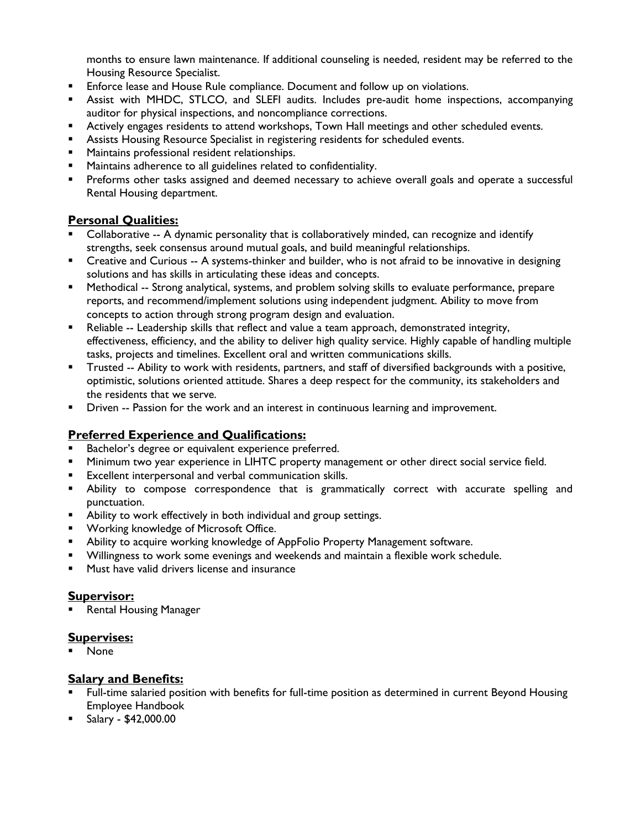months to ensure lawn maintenance. If additional counseling is needed, resident may be referred to the Housing Resource Specialist.

- Enforce lease and House Rule compliance. Document and follow up on violations.
- Assist with MHDC, STLCO, and SLEFI audits. Includes pre-audit home inspections, accompanying auditor for physical inspections, and noncompliance corrections.
- **EXECT Actively engages residents to attend workshops, Town Hall meetings and other scheduled events.**
- Assists Housing Resource Specialist in registering residents for scheduled events.
- Maintains professional resident relationships.
- Maintains adherence to all guidelines related to confidentiality.
- Preforms other tasks assigned and deemed necessary to achieve overall goals and operate a successful Rental Housing department.

## **Personal Qualities:**

- Collaborative -- A dynamic personality that is collaboratively minded, can recognize and identify strengths, seek consensus around mutual goals, and build meaningful relationships.
- Creative and Curious -- A systems-thinker and builder, who is not afraid to be innovative in designing solutions and has skills in articulating these ideas and concepts.
- Methodical -- Strong analytical, systems, and problem solving skills to evaluate performance, prepare reports, and recommend/implement solutions using independent judgment. Ability to move from concepts to action through strong program design and evaluation.
- **E** Reliable -- Leadership skills that reflect and value a team approach, demonstrated integrity, effectiveness, efficiency, and the ability to deliver high quality service. Highly capable of handling multiple tasks, projects and timelines. Excellent oral and written communications skills.
- Trusted -- Ability to work with residents, partners, and staff of diversified backgrounds with a positive, optimistic, solutions oriented attitude. Shares a deep respect for the community, its stakeholders and the residents that we serve.
- Driven -- Passion for the work and an interest in continuous learning and improvement.

## **Preferred Experience and Qualifications:**

- Bachelor's degree or equivalent experience preferred.
- Minimum two year experience in LIHTC property management or other direct social service field.
- Excellent interpersonal and verbal communication skills.
- Ability to compose correspondence that is grammatically correct with accurate spelling and punctuation.
- **E** Ability to work effectively in both individual and group settings.
- **■** Working knowledge of Microsoft Office.
- Ability to acquire working knowledge of AppFolio Property Management software.
- Willingness to work some evenings and weekends and maintain a flexible work schedule.
- Must have valid drivers license and insurance

#### **Supervisor:**

**Rental Housing Manager** 

#### **Supervises:**

■ None

#### **Salary and Benefits:**

- Full-time salaried position with benefits for full-time position as determined in current Beyond Housing Employee Handbook
- Salary \$42,000.00